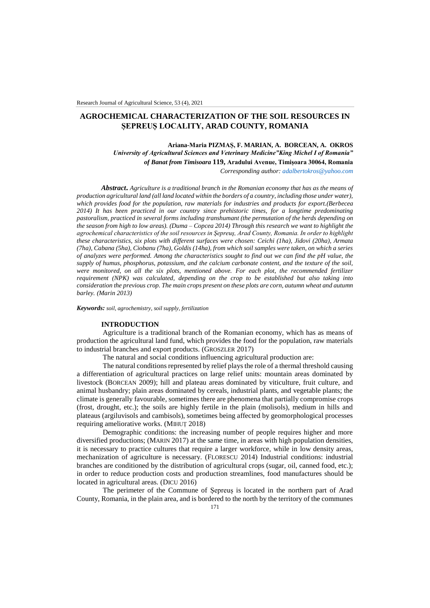# **AGROCHEMICAL CHARACTERIZATION OF THE SOIL RESOURCES IN ȘEPREUȘ LOCALITY, ARAD COUNTY, ROMANIA**

**Ariana-Maria PIZMAȘ, F. MARIAN, A. BORCEAN, A. OKROS**  *University of Agricultural Sciences and Veterinary Medicine"King Michel I of Romania" of Banat from Timisoara* **119, Aradului Avenue, Timișoara 30064, Romania** *Corresponding author: [adalbertokros@yahoo.com](mailto:adalbertokros@yahoo.com)*

*Abstract***.** *Agriculture is a traditional branch in the Romanian economy that has as the means of production agricultural land (all land located within the borders of a country, including those under water), which provides food for the population, raw materials for industries and products for export.(Berbecea 2014) It has been practiced in our country since prehistoric times, for a longtime predominating pastoralism, practiced in several forms including transhumant (the permutation of the herds depending on the season from high to low areas). (Duma – Copcea 2014) Through this research we want to highlight the agrochemical characteristics of the soil resources in Şepreuş, Arad County, Romania. In order to highlight these characteristics, six plots with different surfaces were chosen: Ceichi (1ha), Jidovi (20ha), Armata (7ha), Cabana (5ha), Ciobanu (7ha), Goldis (14ha), from which soil samples were taken, on which a series of analyzes were performed. Among the characteristics sought to find out we can find the pH value, the supply of humus, phosphorus, potassium, and the calcium carbonate content, and the texture of the soil, were monitored, on all the six plots, mentioned above. For each plot, the recommended fertilizer requirement (NPK) was calculated, depending on the crop to be established but also taking into consideration the previous crop. The main crops present on these plots are corn, autumn wheat and autumn barley. (Marin 2013)*

#### *Keywords: soil, agrochemistry, soil supply, fertilization*

#### **INTRODUCTION**

Agriculture is a traditional branch of the Romanian economy, which has as means of production the agricultural land fund, which provides the food for the population, raw materials to industrial branches and export products. (GROSZLER 2017)

The natural and social conditions influencing agricultural production are:

The natural conditions represented by relief plays the role of a thermal threshold causing a differentiation of agricultural practices on large relief units: mountain areas dominated by livestock (BORCEAN 2009); hill and plateau areas dominated by viticulture, fruit culture, and animal husbandry; plain areas dominated by cereals, industrial plants, and vegetable plants; the climate is generally favourable, sometimes there are phenomena that partially compromise crops (frost, drought, etc.); the soils are highly fertile in the plain (molisols), medium in hills and plateaus (argiluvisols and cambisols), sometimes being affected by geomorphological processes requiring ameliorative works. (MIHUȚ 2018)

Demographic conditions: the increasing number of people requires higher and more diversified productions; (MARIN 2017) at the same time, in areas with high population densities, it is necessary to practice cultures that require a larger workforce, while in low density areas, mechanization of agriculture is necessary. (FLORESCU 2014) Industrial conditions: industrial branches are conditioned by the distribution of agricultural crops (sugar, oil, canned food, etc.); in order to reduce production costs and production streamlines, food manufactures should be located in agricultural areas. (DICU 2016)

The perimeter of the Commune of Șepreuș is located in the northern part of Arad County, Romania, in the plain area, and is bordered to the north by the territory of the communes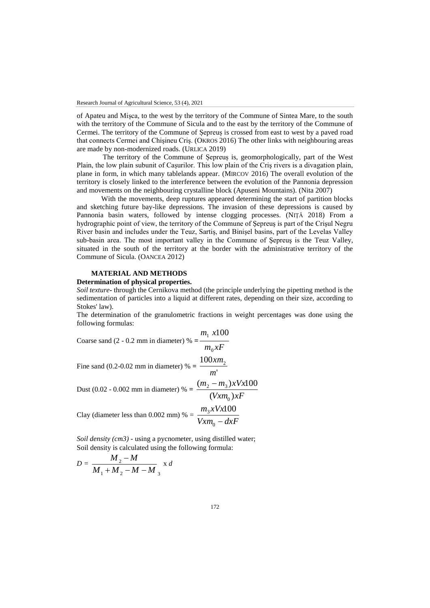of Apateu and Mișca, to the west by the territory of the Commune of Sintea Mare, to the south with the territory of the Commune of Sicula and to the east by the territory of the Commune of Cermei. The territory of the Commune of Șepreuș is crossed from east to west by a paved road that connects Cermei and Chişineu Criş. (OKROS 2016) The other links with neighbouring areas are made by non-modernized roads. (URLICA 2019)

The territory of the Commune of Șepreuș is, geomorphologically, part of the West Plain, the low plain subunit of Cașurilor. This low plain of the Criş rivers is a divagation plain, plane in form, in which many tablelands appear. (MIRCOV 2016) The overall evolution of the territory is closely linked to the interference between the evolution of the Pannonia depression and movements on the neighbouring crystalline block (Apuseni Mountains). (Nita 2007)

With the movements, deep ruptures appeared determining the start of partition blocks and sketching future bay-like depressions. The invasion of these depressions is caused by Pannonia basin waters, followed by intense clogging processes. (NIŢĂ 2018) From a hydrographic point of view, the territory of the Commune of Şepreuş is part of the Crişul Negru River basin and includes under the Teuz, Sartiş, and Binişel basins, part of the Levelas Valley sub-basin area. The most important valley in the Commune of Şepreuş is the Teuz Valley, situated in the south of the territory at the border with the administrative territory of the Commune of Sicula. (OANCEA 2012)

# **MATERIAL AND METHODS**

# **Determination of physical properties.**

*Soil texture***-** through the Cernikova method (the principle underlying the pipetting method is the sedimentation of particles into a liquid at different rates, depending on their size, according to Stokes' law).

The determination of the granulometric fractions in weight percentages was done using the following formulas:

Coarse sand (2 - 0.2 mm in diameter) % =  $\frac{1}{m_0 x F}$  $m_1$  *x*  $\mathbf{0}$  $x_1 x_100$ Fine sand (0.2-0.02 mm in diameter) % =  $\frac{100xm_2}{100}$ *m xm* Dust (0.02 - 0.002 mm in diameter) % =  $\frac{2}{(V x m_0)xF}$  $m_2 - m_3$ )xVx  $(Vxm_0)$  $(m_2 - m_3)xVx100$  $\mathbf{0}$  $2 - m_3$ Clay (diameter less than 0.002 mm) % =  $\frac{3.1 \times 10^{-4} \text{ J}}{V x m_0 - d x F}$  $m_3$ *xVx*  $\frac{1}{0}$  $\frac{1}{3}$ xVx100

*Soil density (cm3)* - using a pycnometer, using distilled water; Soil density is calculated using the following formula:

$$
D = \frac{M_2 - M}{M_1 + M_2 - M - M_3} \times d
$$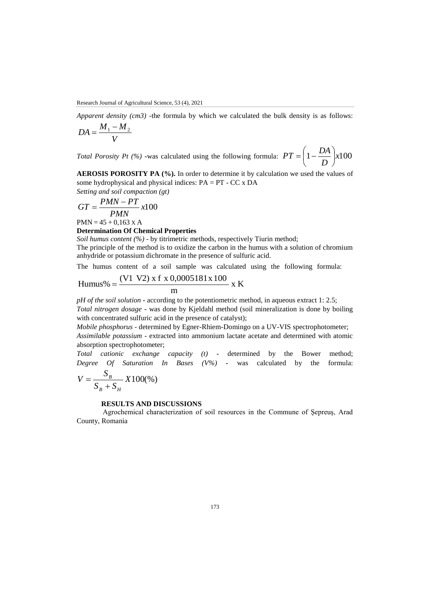*Apparent density (cm3)* -the formula by which we calculated the bulk density is as follows:

$$
DA = \frac{M_1 - M_2}{V}
$$

*Total Porosity Pt (%)* •was calculated using the following formula:  $PT = \left(1 - \frac{271}{\pi}\right) \times 100$ *D*  $PT = \left(1 - \frac{DA}{R}\right)$  $\big)$  $\left(1-\frac{DA}{D}\right)$  $\setminus$  $=\left(1 - \frac{1}{2}\right)$ 

**AEROSIS POROSITY PA (%).** In order to determine it by calculation we used the values of some hydrophysical and physical indices: PA = PT - CC x DA *Setting and soil compaction (gt)*

$$
Selling and Sott Computation (
$$

$$
GT = \frac{PMN - PT}{PMN}x100
$$

 $PMN = 45 + 0,163 \text{ X A}$ 

# **Determination Of Chemical Properties**

*Soil humus content (%)* - by titrimetric methods, respectively Tiurin method;

The principle of the method is to oxidize the carbon in the humus with a solution of chromium anhydride or potassium dichromate in the presence of sulfuric acid.

The humus content of a soil sample was calculated using the following formula:

Humus% = 
$$
\frac{(V1 V2) x f x 0,0005181x 100}{m} x K
$$

*pH of the soil solution* **-** according to the potentiometric method, in aqueous extract 1: 2.5;

*Total nitrogen dosage* - was done by Kjeldahl method (soil mineralization is done by boiling with concentrated sulfuric acid in the presence of catalyst);

*Mobile phosphorus* - determined by Egner-Rhiem-Domingo on a UV-VIS spectrophotometer; *Assimilable potassium* - extracted into ammonium lactate acetate and determined with atomic absorption spectrophotometer;

*Total cationic exchange capacity (t)* - determined by the Bower method; *Degree Of Saturation In Bases (V%)* **-** was calculated by the formula:

$$
V = \frac{S_B}{S_B + S_H} X100\%)
$$

#### **RESULTS AND DISCUSSIONS**

Agrochemical characterization of soil resources in the Commune of Şepreuş, Arad County, Romania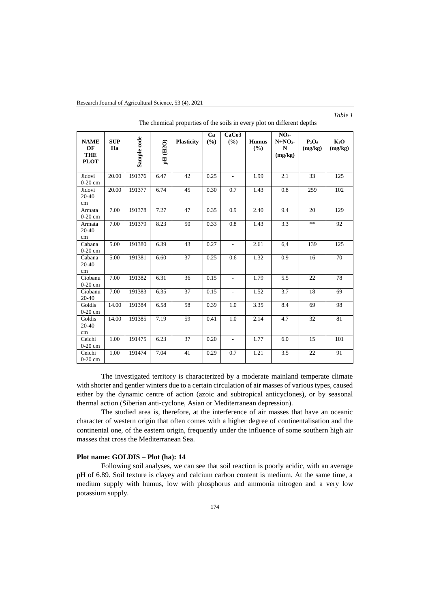| <b>NAME</b><br>OF<br><b>THE</b><br><b>PLOT</b> | <b>SUP</b><br>Ha | Sample code | pH(H2O) | <b>Plasticity</b> | Ca<br>(%) | CaCo <sub>3</sub><br>(%) | <b>Humus</b><br>(%) | NO <sub>3</sub><br>$N+NO2$<br>$\mathbf N$<br>(mg/kg) | $P_2O_5$<br>(mg/kg) | $K_2O$<br>(mg/kg) |
|------------------------------------------------|------------------|-------------|---------|-------------------|-----------|--------------------------|---------------------|------------------------------------------------------|---------------------|-------------------|
| Jidovi<br>$0-20$ cm                            | 20.00            | 191376      | 6.47    | 42                | 0.25      | $\overline{\phantom{a}}$ | 1.99                | 2.1                                                  | 33                  | 125               |
| Jidovi<br>$20 - 40$<br>cm                      | 20.00            | 191377      | 6.74    | 45                | 0.30      | 0.7                      | 1.43                | 0.8                                                  | 259                 | 102               |
| Armata<br>$0-20$ cm                            | 7.00             | 191378      | 7.27    | 47                | 0.35      | 0.9                      | 2.40                | 9.4                                                  | 20                  | 129               |
| Armata<br>20-40<br>cm                          | 7.00             | 191379      | 8.23    | 50                | 0.33      | 0.8                      | 1.43                | 3.3                                                  | **                  | 92                |
| Cabana<br>$0-20$ cm                            | 5.00             | 191380      | 6.39    | 43                | 0.27      | $\overline{\phantom{a}}$ | 2.61                | 6,4                                                  | 139                 | 125               |
| Cabana<br>$20 - 40$<br>cm                      | 5.00             | 191381      | 6.60    | 37                | 0.25      | 0.6                      | 1.32                | 0.9                                                  | 16                  | 70                |
| Ciobanu<br>$0-20$ cm                           | 7.00             | 191382      | 6.31    | 36                | 0.15      | $\overline{\phantom{a}}$ | 1.79                | 5.5                                                  | 22                  | 78                |
| Ciobanu<br>20-40                               | 7.00             | 191383      | 6.35    | 37                | 0.15      | $\overline{\phantom{a}}$ | 1.52                | 3.7                                                  | 18                  | 69                |
| Goldis<br>$0-20$ cm                            | 14.00            | 191384      | 6.58    | 58                | 0.39      | 1.0                      | 3.35                | 8.4                                                  | 69                  | 98                |
| Goldis<br>20-40<br>cm                          | 14.00            | 191385      | 7.19    | 59                | 0.41      | 1.0                      | 2.14                | 4.7                                                  | 32                  | 81                |
| Ceichi<br>$0-20$ cm                            | 1.00             | 191475      | 6.23    | 37                | 0.20      | $\overline{\phantom{a}}$ | 1.77                | 6.0                                                  | 15                  | 101               |
| Ceichi<br>$0-20$ cm                            | 1,00             | 191474      | 7.04    | 41                | 0.29      | 0.7                      | 1.21                | 3.5                                                  | 22                  | 91                |

The chemical properties of the soils in every plot on different depths

*Table 1*

The investigated territory is characterized by a moderate mainland temperate climate with shorter and gentler winters due to a certain circulation of air masses of various types, caused either by the dynamic centre of action (azoic and subtropical anticyclones), or by seasonal thermal action (Siberian anti-cyclone, Asian or Mediterranean depression).

The studied area is, therefore, at the interference of air masses that have an oceanic character of western origin that often comes with a higher degree of continentalisation and the continental one, of the eastern origin, frequently under the influence of some southern high air masses that cross the Mediterranean Sea.

# **Plot name: GOLDIS – Plot (ha): 14**

Following soil analyses, we can see that soil reaction is poorly acidic, with an average pH of 6.89. Soil texture is clayey and calcium carbon content is medium. At the same time, a medium supply with humus, low with phosphorus and ammonia nitrogen and a very low potassium supply.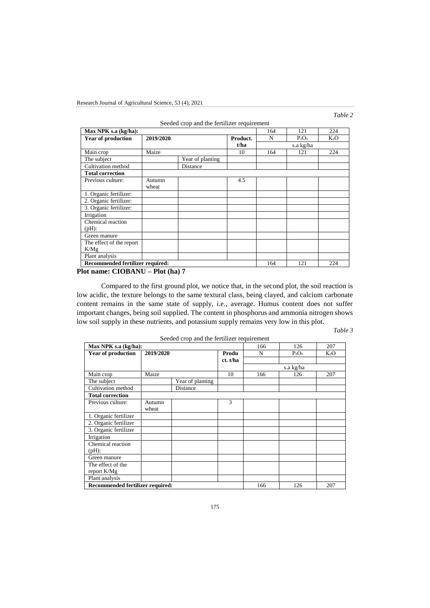| $\iota$ m |  |
|-----------|--|
|-----------|--|

|                                  |           | Seeded crop and the fertilizer requirement |          |     |           |        |
|----------------------------------|-----------|--------------------------------------------|----------|-----|-----------|--------|
| Max NPK s.a (kg/ha):             | 164       | 121                                        | 224      |     |           |        |
| <b>Year of production</b>        | 2019/2020 |                                            | Product. | N   | $P_2O_5$  | $K_2O$ |
|                                  |           |                                            | t/ha     |     | s.a kg/ha |        |
| Main crop                        | Maize     |                                            | 10       | 164 | 121       | 224    |
| The subject                      |           | Year of planting                           |          |     |           |        |
| Cultivation method               |           | Distance                                   |          |     |           |        |
| <b>Total correction</b>          |           |                                            |          |     |           |        |
| Previous culture:                | Autumn    |                                            | 4.5      |     |           |        |
|                                  | wheat     |                                            |          |     |           |        |
| 1. Organic fertilizer:           |           |                                            |          |     |           |        |
| 2. Organic fertilizer:           |           |                                            |          |     |           |        |
| 3. Organic fertilizer:           |           |                                            |          |     |           |        |
| Irrigation                       |           |                                            |          |     |           |        |
| Chemical reaction                |           |                                            |          |     |           |        |
| (Hq)                             |           |                                            |          |     |           |        |
| Green manure                     |           |                                            |          |     |           |        |
| The effect of the report         |           |                                            |          |     |           |        |
| K/Mg                             |           |                                            |          |     |           |        |
| Plant analysis                   |           |                                            |          |     |           |        |
| Recommended fertilizer required: |           |                                            |          | 164 | 121       | 224    |

**Plot name: CIOBANU – Plot (ha) 7**

Compared to the first ground plot, we notice that, in the second plot, the soil reaction is low acidic, the texture belongs to the same textural class, being clayed, and calcium carbonate content remains in the same state of supply, i.e., average. Humus content does not suffer important changes, being soil supplied. The content in phosphorus and ammonia nitrogen shows low soil supply in these nutrients, and potassium supply remains very low in this plot.

*Table 3*

|                                         |           | Seeded crop and the fertilizer requirement |          |     |           |        |
|-----------------------------------------|-----------|--------------------------------------------|----------|-----|-----------|--------|
| Max NPK s.a (kg/ha):                    | 166       | 126                                        | 207      |     |           |        |
| Year of production                      | 2019/2020 |                                            | Produ    | N   | $P_2O_5$  | $K_2O$ |
|                                         |           |                                            | ct. t/ha |     |           |        |
|                                         |           |                                            |          |     | s.a kg/ha |        |
| Main crop                               | Maize     |                                            | 10       | 166 | 126       | 207    |
| The subject                             |           | Year of planting                           |          |     |           |        |
| Cultivation method                      |           | Distance                                   |          |     |           |        |
| <b>Total correction</b>                 |           |                                            |          |     |           |        |
| Previous culture:                       | Autumn    |                                            | 3        |     |           |        |
|                                         | wheat     |                                            |          |     |           |        |
| 1. Organic fertilizer                   |           |                                            |          |     |           |        |
| 2. Organic fertilizer                   |           |                                            |          |     |           |        |
| 3. Organic fertilizer                   |           |                                            |          |     |           |        |
| Irrigation                              |           |                                            |          |     |           |        |
| Chemical reaction                       |           |                                            |          |     |           |        |
| $(pH)$ :                                |           |                                            |          |     |           |        |
| Green manure                            |           |                                            |          |     |           |        |
| The effect of the                       |           |                                            |          |     |           |        |
| report K/Mg                             |           |                                            |          |     |           |        |
| Plant analysis                          |           |                                            |          |     |           |        |
| <b>Recommended fertilizer required:</b> |           |                                            |          | 166 | 126       | 207    |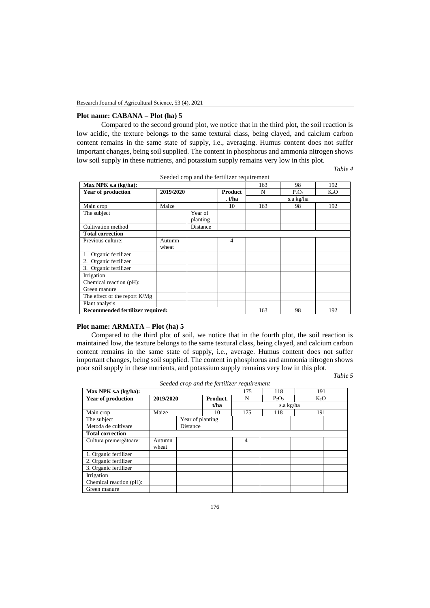# **Plot name: CABANA – Plot (ha) 5**

Compared to the second ground plot, we notice that in the third plot, the soil reaction is low acidic, the texture belongs to the same textural class, being clayed, and calcium carbon content remains in the same state of supply, i.e., averaging. Humus content does not suffer important changes, being soil supplied. The content in phosphorus and ammonia nitrogen shows low soil supply in these nutrients, and potassium supply remains very low in this plot.

*Table 4*

|                                         |                 |                     | Seeded crop and the fertilizer requirement |     |           |                  |
|-----------------------------------------|-----------------|---------------------|--------------------------------------------|-----|-----------|------------------|
| Max NPK s.a (kg/ha):                    | 163             | 98                  | 192                                        |     |           |                  |
| <b>Year of production</b>               | 2019/2020       |                     | <b>Product</b>                             | N   | $P_2O_5$  | K <sub>2</sub> O |
|                                         |                 |                     | . t/ha                                     |     | s.a kg/ha |                  |
| Main crop                               | Maize           |                     | 10                                         | 163 | 98        | 192              |
| The subject                             |                 | Year of<br>planting |                                            |     |           |                  |
| Cultivation method                      |                 | Distance            |                                            |     |           |                  |
| <b>Total correction</b>                 |                 |                     |                                            |     |           |                  |
| Previous culture:                       | Autumn<br>wheat |                     | $\overline{4}$                             |     |           |                  |
| 1. Organic fertilizer                   |                 |                     |                                            |     |           |                  |
| 2. Organic fertilizer                   |                 |                     |                                            |     |           |                  |
| 3. Organic fertilizer                   |                 |                     |                                            |     |           |                  |
| Irrigation                              |                 |                     |                                            |     |           |                  |
| Chemical reaction (pH):                 |                 |                     |                                            |     |           |                  |
| Green manure                            |                 |                     |                                            |     |           |                  |
| The effect of the report K/Mg           |                 |                     |                                            |     |           |                  |
| Plant analysis                          |                 |                     |                                            |     |           |                  |
| <b>Recommended fertilizer required:</b> |                 |                     |                                            | 163 | 98        | 192              |

### **Plot name: ARMATA – Plot (ha) 5**

 Compared to the third plot of soil, we notice that in the fourth plot, the soil reaction is maintained low, the texture belongs to the same textural class, being clayed, and calcium carbon content remains in the same state of supply, i.e., average. Humus content does not suffer important changes, being soil supplied. The content in phosphorus and ammonia nitrogen shows poor soil supply in these nutrients, and potassium supply remains very low in this plot.

*Table 5*

| Max NPK s.a (kg/ha):      |           |                  |          | 175 | 118       | 191    |  |  |
|---------------------------|-----------|------------------|----------|-----|-----------|--------|--|--|
| <b>Year of production</b> | 2019/2020 |                  | Product. | N   | $P_2O_5$  | $K_2O$ |  |  |
|                           |           |                  | t/ha     |     | s.a kg/ha |        |  |  |
| Main crop                 | Maize     |                  | 10       | 175 | 118       | 191    |  |  |
| The subject               |           | Year of planting |          |     |           |        |  |  |
| Metoda de cultivare       | Distance  |                  |          |     |           |        |  |  |
| <b>Total correction</b>   |           |                  |          |     |           |        |  |  |
| Cultura premergătoare:    | Autumn    |                  |          | 4   |           |        |  |  |
|                           | wheat     |                  |          |     |           |        |  |  |
| 1. Organic fertilizer     |           |                  |          |     |           |        |  |  |
| 2. Organic fertilizer     |           |                  |          |     |           |        |  |  |
| 3. Organic fertilizer     |           |                  |          |     |           |        |  |  |
| Irrigation                |           |                  |          |     |           |        |  |  |
| Chemical reaction (pH):   |           |                  |          |     |           |        |  |  |
| Green manure              |           |                  |          |     |           |        |  |  |

*Seeded crop and the fertilizer requirement*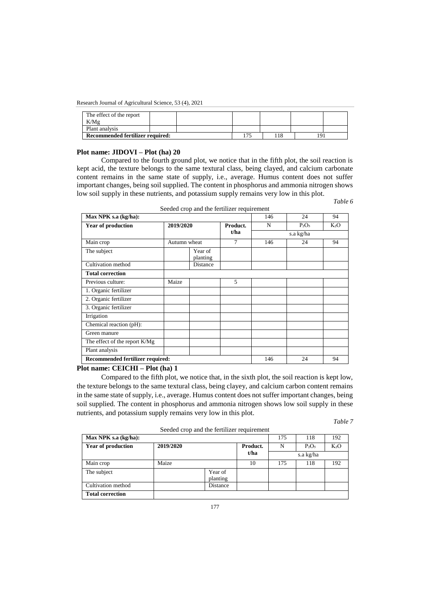| The effect of the report<br>K/Mg |  |  |    |  |  |
|----------------------------------|--|--|----|--|--|
| Plant analysis                   |  |  |    |  |  |
| Recommended fertilizer required: |  |  | 75 |  |  |

#### **Plot name: JIDOVI – Plot (ha) 20**

Compared to the fourth ground plot, we notice that in the fifth plot, the soil reaction is kept acid, the texture belongs to the same textural class, being clayed, and calcium carbonate content remains in the same state of supply, i.e., average. Humus content does not suffer important changes, being soil supplied. The content in phosphorus and ammonia nitrogen shows low soil supply in these nutrients, and potassium supply remains very low in this plot.

Seeded crop and the fertilizer requirement

| Max NPK s.a (kg/ha):             | 146                 | 24       | 94               |     |           |        |
|----------------------------------|---------------------|----------|------------------|-----|-----------|--------|
| <b>Year of production</b>        | 2019/2020           |          | Product.<br>t/ha | N   | $P_2O_5$  | $K_2O$ |
|                                  |                     |          |                  |     | s.a kg/ha |        |
| Main crop                        | Autumn wheat        |          | 7                | 146 | 24        | 94     |
| The subject                      | Year of<br>planting |          |                  |     |           |        |
| Cultivation method               |                     | Distance |                  |     |           |        |
| <b>Total correction</b>          |                     |          |                  |     |           |        |
| Previous culture:                | Maize               |          | 5                |     |           |        |
| 1. Organic fertilizer            |                     |          |                  |     |           |        |
| 2. Organic fertilizer            |                     |          |                  |     |           |        |
| 3. Organic fertilizer            |                     |          |                  |     |           |        |
| Irrigation                       |                     |          |                  |     |           |        |
| Chemical reaction (pH):          |                     |          |                  |     |           |        |
| Green manure                     |                     |          |                  |     |           |        |
| The effect of the report K/Mg    |                     |          |                  |     |           |        |
| Plant analysis                   |                     |          |                  |     |           |        |
| Recommended fertilizer required: | 146                 | 24       | 94               |     |           |        |

## **Plot name: CEICHI – Plot (ha) 1**

Compared to the fifth plot, we notice that, in the sixth plot, the soil reaction is kept low, the texture belongs to the same textural class, being clayey, and calcium carbon content remains in the same state of supply, i.e., average. Humus content does not suffer important changes, being soil supplied. The content in phosphorus and ammonia nitrogen shows low soil supply in these nutrients, and potassium supply remains very low in this plot.

*Table 7*

*Table 6*

| Seeded crop and the fertilizer requirement |           |                     |      |          |           |     |  |  |  |  |
|--------------------------------------------|-----------|---------------------|------|----------|-----------|-----|--|--|--|--|
| Max NPK s.a (kg/ha):                       | 175       | 118                 | 192  |          |           |     |  |  |  |  |
| <b>Year of production</b>                  | 2019/2020 | Product.            | N    | $P_2O_5$ | $K_2O$    |     |  |  |  |  |
|                                            |           |                     | t/ha |          | s.a kg/ha |     |  |  |  |  |
| Main crop                                  | Maize     |                     | 10   | 175      | 118       | 192 |  |  |  |  |
| The subject                                |           | Year of<br>planting |      |          |           |     |  |  |  |  |
| Cultivation method                         |           | Distance            |      |          |           |     |  |  |  |  |
| <b>Total correction</b>                    |           |                     |      |          |           |     |  |  |  |  |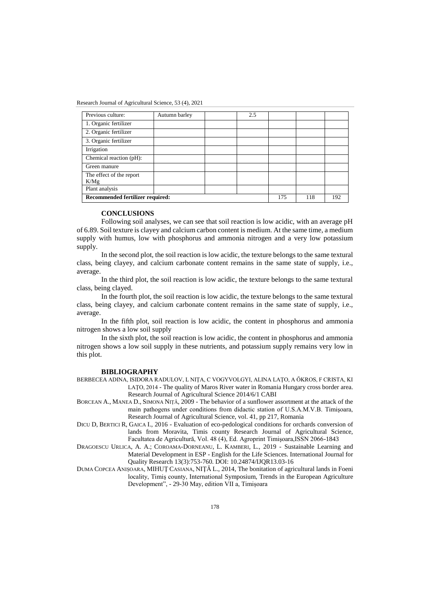| Previous culture:                | Autumn barley | 2.5 |     |  |  |
|----------------------------------|---------------|-----|-----|--|--|
| 1. Organic fertilizer            |               |     |     |  |  |
| 2. Organic fertilizer            |               |     |     |  |  |
| 3. Organic fertilizer            |               |     |     |  |  |
| Irrigation                       |               |     |     |  |  |
| Chemical reaction (pH):          |               |     |     |  |  |
| Green manure                     |               |     |     |  |  |
| The effect of the report<br>K/Mg |               |     |     |  |  |
| Plant analysis                   |               |     |     |  |  |
| Recommended fertilizer required: | 175           | 118 | 192 |  |  |

#### **CONCLUSIONS**

Following soil analyses, we can see that soil reaction is low acidic, with an average pH of 6.89. Soil texture is clayey and calcium carbon content is medium. At the same time, a medium supply with humus, low with phosphorus and ammonia nitrogen and a very low potassium supply.

In the second plot, the soil reaction is low acidic, the texture belongs to the same textural class, being clayey, and calcium carbonate content remains in the same state of supply, i.e., average.

In the third plot, the soil reaction is low acidic, the texture belongs to the same textural class, being clayed.

In the fourth plot, the soil reaction is low acidic, the texture belongs to the same textural class, being clayey, and calcium carbonate content remains in the same state of supply, i.e., average.

In the fifth plot, soil reaction is low acidic, the content in phosphorus and ammonia nitrogen shows a low soil supply

In the sixth plot, the soil reaction is low acidic, the content in phosphorus and ammonia nitrogen shows a low soil supply in these nutrients, and potassium supply remains very low in this plot.

### **BIBLIOGRAPHY**

- BERBECEA ADINA, ISIDORA RADULOV, L NIŢA, C VOGYVOLGYI, ALINA LAŢO, A ŐKROS, F CRISTA, KI LAŢO, 2014 - The quality of Maros River water in Romania Hungary cross border area. Research Journal of Agricultural Science 2014/6/1 CABI
- BORCEAN A., MANEA D., SIMONA NIŢĂ, 2009 The behavior of a sunflower assortment at the attack of the main pathogens under conditions from didactic station of U.S.A.M.V.B. Timişoara, Research Journal of Agricultural Science, vol. 41, pp 217, Romania
- DICU D, BERTICI R, GAICA I., 2016 Evaluation of eco-pedological conditions for orchards conversion of lands from Moravita, Timis county Research Journal of Agricultural Science, Facultatea de Agricultură, Vol. 48 (4), Ed. Agroprint Timişoara,ISSN 2066-1843
- DRAGOESCU URLICA, A. A.; COROAMA-DORNEANU, L. KAMBERI, L., 2019 Sustainable Learning and Material Development in ESP - English for the Life Sciences. International Journal for Quality Research 13(3):753-760. DOI: 10.24874/IJQR13.03-16
- DUMA COPCEA ANIȘOARA, MIHUŢ CASIANA, NIŢĂ L., 2014, The bonitation of agricultural lands in Foeni locality, Timiş county, International Symposium, Trends in the European Agriculture Development", - 29-30 May, edition VII a, Timișoara